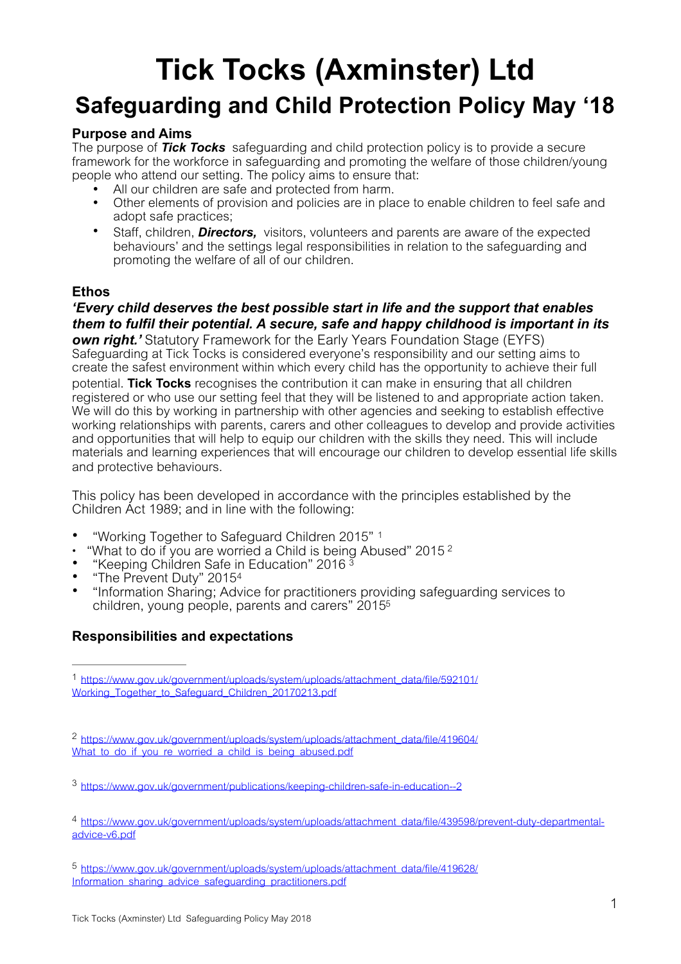# **Tick Tocks (Axminster) Ltd Safeguarding and Child Protection Policy May '18**

# **Purpose and Aims**

The purpose of *Tick Tocks* safeguarding and child protection policy is to provide a secure framework for the workforce in safeguarding and promoting the welfare of those children/young people who attend our setting. The policy aims to ensure that:

- All our children are safe and protected from harm.
- Other elements of provision and policies are in place to enable children to feel safe and adopt safe practices;
- Staff, children, *Directors,* visitors, volunteers and parents are aware of the expected behaviours' and the settings legal responsibilities in relation to the safeguarding and promoting the welfare of all of our children.

# **Ethos**

*'Every child deserves the best possible start in life and the support that enables them to fulfil their potential. A secure, safe and happy childhood is important in its own right.'* Statutory Framework for the Early Years Foundation Stage (EYFS) Safeguarding at Tick Tocks is considered everyone's responsibility and our setting aims to create the safest environment within which every child has the opportunity to achieve their full potential. **Tick Tocks** recognises the contribution it can make in ensuring that all children registered or who use our setting feel that they will be listened to and appropriate action taken. We will do this by working in partnership with other agencies and seeking to establish effective working relationships with parents, carers and other colleagues to develop and provide activities and opportunities that will help to equip our children with the skills they need. This will include materials and learning experiences that will encourage our children to develop essential life skills and protective behaviours.

This policy has been developed in accordance with the principles established by the Children Act 1989; and in line with the following:

- "Working Together to Safeguard Children 2015" [1](#page-0-0)
- <span id="page-0-6"></span><span id="page-0-5"></span>"What to do if you are worried a Child is being Abused" [2](#page-0-1)015<sup>2</sup>
- "Keeping Children Safe in Education" 2016 [3](#page-0-2)
- <span id="page-0-8"></span><span id="page-0-7"></span>• "The Prevent Duty" 2015[4](#page-0-3)
- <span id="page-0-9"></span>• "Information Sharing; Advice for practitioners providing safeguarding services to children, young people, parents and carers" 201[55](#page-0-4)

# **Responsibilities and expectations**

<span id="page-0-0"></span>[https://www.gov.uk/government/uploads/system/uploads/attachment\\_data/file/592101/](https://www.gov.uk/government/uploads/system/uploads/attachment_data/file/592101/Working_Together_to_Safeguard_Children_20170213.pdf) [1](#page-0-5) [Working\\_Together\\_to\\_Safeguard\\_Children\\_20170213.pdf](https://www.gov.uk/government/uploads/system/uploads/attachment_data/file/592101/Working_Together_to_Safeguard_Children_20170213.pdf)

<span id="page-0-1"></span>[https://www.gov.uk/government/uploads/system/uploads/attachment\\_data/file/419604/](https://www.gov.uk/government/uploads/system/uploads/attachment_data/file/419604/What_to_do_if_you_re_worried_a_child_is_being_abused.pdf) [2](#page-0-6) What to do if you re worried a child is being abused.pdf

<span id="page-0-2"></span><https://www.gov.uk/government/publications/keeping-children-safe-in-education--2> [3](#page-0-7)

<span id="page-0-3"></span>[https://www.gov.uk/government/uploads/system/uploads/attachment\\_data/file/439598/prevent-duty-departmental-](https://www.gov.uk/government/uploads/system/uploads/attachment_data/file/439598/prevent-duty-departmental-advice-v6.pdf) [4](#page-0-8) [advice-v6.pdf](https://www.gov.uk/government/uploads/system/uploads/attachment_data/file/439598/prevent-duty-departmental-advice-v6.pdf)

<span id="page-0-4"></span>[https://www.gov.uk/government/uploads/system/uploads/attachment\\_data/file/419628/](https://www.gov.uk/government/uploads/system/uploads/attachment_data/file/419628/Information_sharing_advice_safeguarding_practitioners.pdf) [5](#page-0-9) [Information\\_sharing\\_advice\\_safeguarding\\_practitioners.pdf](https://www.gov.uk/government/uploads/system/uploads/attachment_data/file/419628/Information_sharing_advice_safeguarding_practitioners.pdf)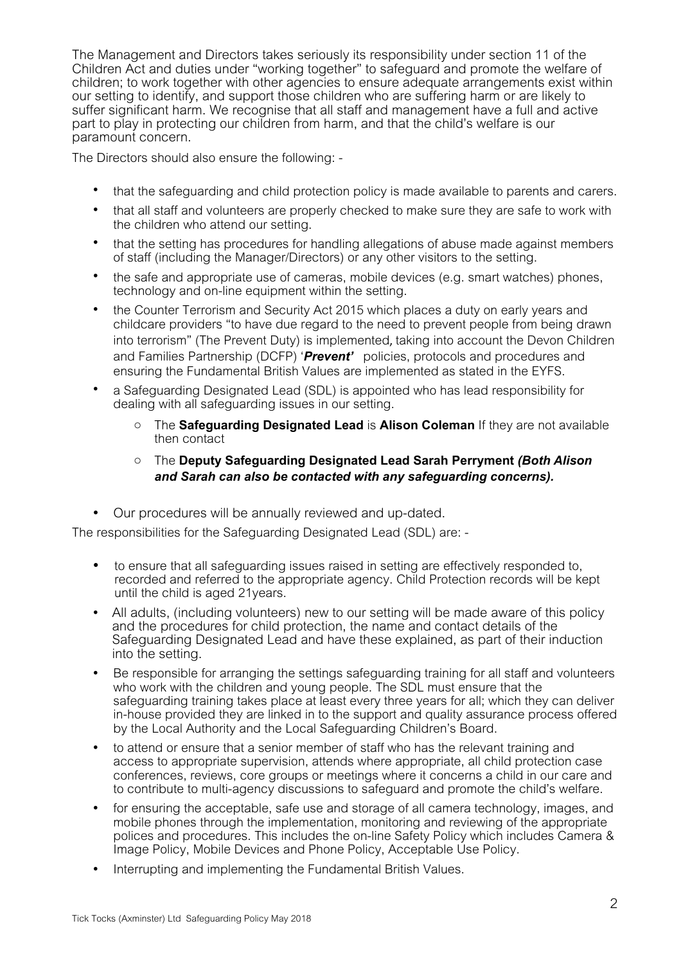The Management and Directors takes seriously its responsibility under section 11 of the Children Act and duties under "working together" to safeguard and promote the welfare of children; to work together with other agencies to ensure adequate arrangements exist within our setting to identify, and support those children who are suffering harm or are likely to suffer significant harm. We recognise that all staff and management have a full and active part to play in protecting our children from harm, and that the child's welfare is our paramount concern.

The Directors should also ensure the following: -

- that the safeguarding and child protection policy is made available to parents and carers.
- that all staff and volunteers are properly checked to make sure they are safe to work with the children who attend our setting.
- that the setting has procedures for handling allegations of abuse made against members of staff (including the Manager/Directors) or any other visitors to the setting.
- the safe and appropriate use of cameras, mobile devices (e.g. smart watches) phones, technology and on-line equipment within the setting.
- the Counter Terrorism and Security Act 2015 which places a duty on early years and childcare providers "to have due regard to the need to prevent people from being drawn into terrorism" (The Prevent Duty) is implemented, taking into account the Devon Children and Families Partnership (DCFP) '*Prevent'* policies, protocols and procedures and ensuring the Fundamental British Values are implemented as stated in the EYFS.
- a Safeguarding Designated Lead (SDL) is appointed who has lead responsibility for dealing with all safeguarding issues in our setting.
	- o The **Safeguarding Designated Lead** is **Alison Coleman** If they are not available then contact

## o The **Deputy Safeguarding Designated Lead Sarah Perryment** *(Both Alison and Sarah can also be contacted with any safeguarding concerns).*

• Our procedures will be annually reviewed and up-dated.

The responsibilities for the Safeguarding Designated Lead (SDL) are: -

- to ensure that all safeguarding issues raised in setting are effectively responded to, recorded and referred to the appropriate agency. Child Protection records will be kept until the child is aged 21years.
- All adults, (including volunteers) new to our setting will be made aware of this policy and the procedures for child protection, the name and contact details of the Safeguarding Designated Lead and have these explained, as part of their induction into the setting.
- Be responsible for arranging the settings safeguarding training for all staff and volunteers who work with the children and young people. The SDL must ensure that the safeguarding training takes place at least every three years for all; which they can deliver in-house provided they are linked in to the support and quality assurance process offered by the Local Authority and the Local Safeguarding Children's Board.
- to attend or ensure that a senior member of staff who has the relevant training and access to appropriate supervision, attends where appropriate, all child protection case conferences, reviews, core groups or meetings where it concerns a child in our care and to contribute to multi-agency discussions to safeguard and promote the child's welfare.
- for ensuring the acceptable, safe use and storage of all camera technology, images, and mobile phones through the implementation, monitoring and reviewing of the appropriate polices and procedures. This includes the on-line Safety Policy which includes Camera & Image Policy, Mobile Devices and Phone Policy, Acceptable Use Policy.
- Interrupting and implementing the Fundamental British Values.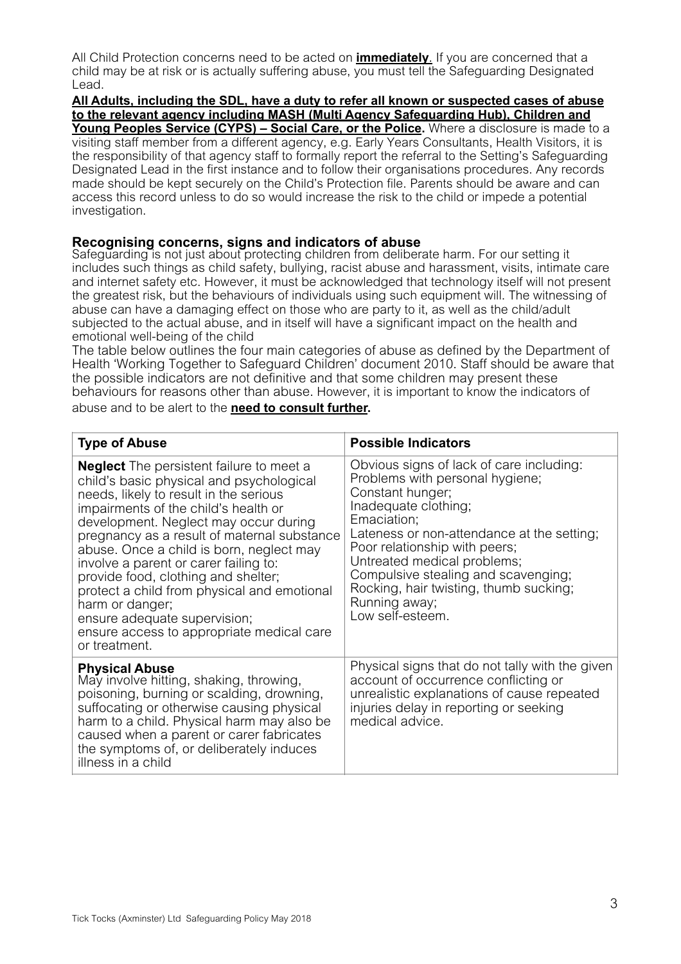All Child Protection concerns need to be acted on **immediately**. If you are concerned that a child may be at risk or is actually suffering abuse, you must tell the Safeguarding Designated Lead.

## **All Adults, including the SDL, have a duty to refer all known or suspected cases of abuse to the relevant agency including MASH (Multi Agency Safeguarding Hub), Children and**

Young Peoples Service (CYPS) - Social Care, or the Police. Where a disclosure is made to a visiting staff member from a different agency, e.g. Early Years Consultants, Health Visitors, it is the responsibility of that agency staff to formally report the referral to the Setting's Safeguarding Designated Lead in the first instance and to follow their organisations procedures. Any records made should be kept securely on the Child's Protection file. Parents should be aware and can access this record unless to do so would increase the risk to the child or impede a potential investigation.

## **Recognising concerns, signs and indicators of abuse**

Safeguarding is not just about protecting children from deliberate harm. For our setting it includes such things as child safety, bullying, racist abuse and harassment, visits, intimate care and internet safety etc. However, it must be acknowledged that technology itself will not present the greatest risk, but the behaviours of individuals using such equipment will. The witnessing of abuse can have a damaging effect on those who are party to it, as well as the child/adult subjected to the actual abuse, and in itself will have a significant impact on the health and emotional well-being of the child

The table below outlines the four main categories of abuse as defined by the Department of Health 'Working Together to Safeguard Children' document 2010. Staff should be aware that the possible indicators are not definitive and that some children may present these behaviours for reasons other than abuse. However, it is important to know the indicators of abuse and to be alert to the **need to consult further.** 

| <b>Type of Abuse</b>                                                                                                                                                                                                                                                                                                                                                                                                                                                                                                                                              | <b>Possible Indicators</b>                                                                                                                                                                                                                                                                                                                                                 |
|-------------------------------------------------------------------------------------------------------------------------------------------------------------------------------------------------------------------------------------------------------------------------------------------------------------------------------------------------------------------------------------------------------------------------------------------------------------------------------------------------------------------------------------------------------------------|----------------------------------------------------------------------------------------------------------------------------------------------------------------------------------------------------------------------------------------------------------------------------------------------------------------------------------------------------------------------------|
| <b>Neglect</b> The persistent failure to meet a<br>child's basic physical and psychological<br>needs, likely to result in the serious<br>impairments of the child's health or<br>development. Neglect may occur during<br>pregnancy as a result of maternal substance<br>abuse. Once a child is born, neglect may<br>involve a parent or carer failing to:<br>provide food, clothing and shelter;<br>protect a child from physical and emotional<br>harm or danger;<br>ensure adequate supervision;<br>ensure access to appropriate medical care<br>or treatment. | Obvious signs of lack of care including:<br>Problems with personal hygiene;<br>Constant hunger;<br>Inadequate clothing;<br>Emaciation;<br>Lateness or non-attendance at the setting;<br>Poor relationship with peers;<br>Untreated medical problems;<br>Compulsive stealing and scavenging;<br>Rocking, hair twisting, thumb sucking;<br>Running away;<br>Low self-esteem. |
| <b>Physical Abuse</b><br>May involve hitting, shaking, throwing,<br>poisoning, burning or scalding, drowning,<br>suffocating or otherwise causing physical<br>harm to a child. Physical harm may also be<br>caused when a parent or carer fabricates<br>the symptoms of, or deliberately induces<br>illness in a child                                                                                                                                                                                                                                            | Physical signs that do not tally with the given<br>account of occurrence conflicting or<br>unrealistic explanations of cause repeated<br>injuries delay in reporting or seeking<br>medical advice.                                                                                                                                                                         |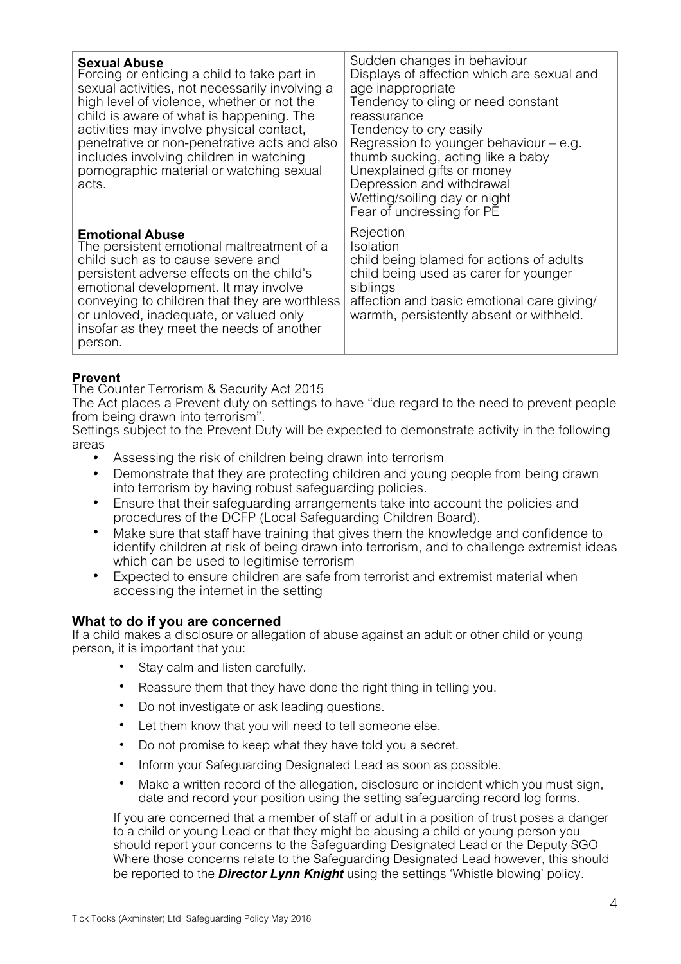| <b>Sexual Abuse</b><br>Forcing or enticing a child to take part in<br>sexual activities, not necessarily involving a<br>high level of violence, whether or not the<br>child is aware of what is happening. The<br>activities may involve physical contact,<br>penetrative or non-penetrative acts and also<br>includes involving children in watching<br>pornographic material or watching sexual<br>acts. | Sudden changes in behaviour<br>Displays of affection which are sexual and<br>age inappropriate<br>Tendency to cling or need constant<br>reassurance<br>Tendency to cry easily<br>Regression to younger behaviour $-$ e.g.<br>thumb sucking, acting like a baby<br>Unexplained gifts or money<br>Depression and withdrawal<br>Wetting/soiling day or night<br>Fear of undressing for PE |
|------------------------------------------------------------------------------------------------------------------------------------------------------------------------------------------------------------------------------------------------------------------------------------------------------------------------------------------------------------------------------------------------------------|----------------------------------------------------------------------------------------------------------------------------------------------------------------------------------------------------------------------------------------------------------------------------------------------------------------------------------------------------------------------------------------|
| <b>Emotional Abuse</b><br>The persistent emotional maltreatment of a<br>child such as to cause severe and<br>persistent adverse effects on the child's<br>emotional development. It may involve<br>conveying to children that they are worthless<br>or unloved, inadequate, or valued only<br>insofar as they meet the needs of another<br>person.                                                         | Rejection<br>Isolation<br>child being blamed for actions of adults<br>child being used as carer for younger<br>siblings<br>affection and basic emotional care giving/<br>warmth, persistently absent or withheld.                                                                                                                                                                      |

## **Prevent**

The Counter Terrorism & Security Act 2015

The Act places a Prevent duty on settings to have "due regard to the need to prevent people from being drawn into terrorism".

Settings subject to the Prevent Duty will be expected to demonstrate activity in the following areas

- Assessing the risk of children being drawn into terrorism
- Demonstrate that they are protecting children and young people from being drawn into terrorism by having robust safeguarding policies.
- Ensure that their safeguarding arrangements take into account the policies and procedures of the DCFP (Local Safeguarding Children Board).
- Make sure that staff have training that gives them the knowledge and confidence to identify children at risk of being drawn into terrorism, and to challenge extremist ideas which can be used to legitimise terrorism
- Expected to ensure children are safe from terrorist and extremist material when accessing the internet in the setting

## **What to do if you are concerned**

If a child makes a disclosure or allegation of abuse against an adult or other child or young person, it is important that you:

- Stay calm and listen carefully.
- Reassure them that they have done the right thing in telling you.
- Do not investigate or ask leading questions.
- Let them know that you will need to tell someone else.
- Do not promise to keep what they have told you a secret.
- Inform your Safeguarding Designated Lead as soon as possible.
- Make a written record of the allegation, disclosure or incident which you must sign, date and record your position using the setting safeguarding record log forms.

If you are concerned that a member of staff or adult in a position of trust poses a danger to a child or young Lead or that they might be abusing a child or young person you should report your concerns to the Safeguarding Designated Lead or the Deputy SGO Where those concerns relate to the Safeguarding Designated Lead however, this should be reported to the *Director Lynn Knight* using the settings 'Whistle blowing' policy.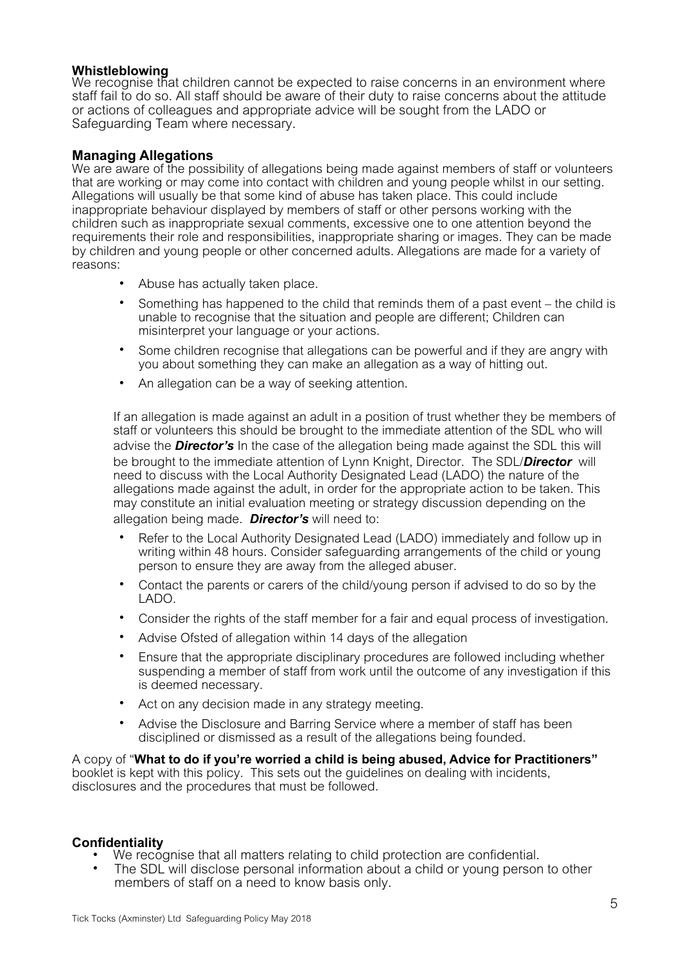## **Whistleblowing**

We recognise that children cannot be expected to raise concerns in an environment where staff fail to do so. All staff should be aware of their duty to raise concerns about the attitude or actions of colleagues and appropriate advice will be sought from the LADO or Safeguarding Team where necessary.

# **Managing Allegations**

We are aware of the possibility of allegations being made against members of staff or volunteers that are working or may come into contact with children and young people whilst in our setting. Allegations will usually be that some kind of abuse has taken place. This could include inappropriate behaviour displayed by members of staff or other persons working with the children such as inappropriate sexual comments, excessive one to one attention beyond the requirements their role and responsibilities, inappropriate sharing or images. They can be made by children and young people or other concerned adults. Allegations are made for a variety of reasons:

- Abuse has actually taken place.
- Something has happened to the child that reminds them of a past event the child is unable to recognise that the situation and people are different; Children can misinterpret your language or your actions.
- Some children recognise that allegations can be powerful and if they are angry with you about something they can make an allegation as a way of hitting out.
- An allegation can be a way of seeking attention.

If an allegation is made against an adult in a position of trust whether they be members of staff or volunteers this should be brought to the immediate attention of the SDL who will advise the *Director's* In the case of the allegation being made against the SDL this will be brought to the immediate attention of Lynn Knight, Director. The SDL/*Director* will need to discuss with the Local Authority Designated Lead (LADO) the nature of the allegations made against the adult, in order for the appropriate action to be taken. This may constitute an initial evaluation meeting or strategy discussion depending on the allegation being made. *Director's* will need to:

- Refer to the Local Authority Designated Lead (LADO) immediately and follow up in writing within 48 hours. Consider safeguarding arrangements of the child or young person to ensure they are away from the alleged abuser.
- Contact the parents or carers of the child/young person if advised to do so by the LADO.
- Consider the rights of the staff member for a fair and equal process of investigation.
- Advise Ofsted of allegation within 14 days of the allegation
- Ensure that the appropriate disciplinary procedures are followed including whether suspending a member of staff from work until the outcome of any investigation if this is deemed necessary.
- Act on any decision made in any strategy meeting.
- Advise the Disclosure and Barring Service where a member of staff has been disciplined or dismissed as a result of the allegations being founded.

A copy of "**What to do if you're worried a child is being abused, Advice for Practitioners"** booklet is kept with this policy. This sets out the guidelines on dealing with incidents, disclosures and the procedures that must be followed.

## **Confidentiality**

- We recognise that all matters relating to child protection are confidential.
- The SDL will disclose personal information about a child or young person to other members of staff on a need to know basis only.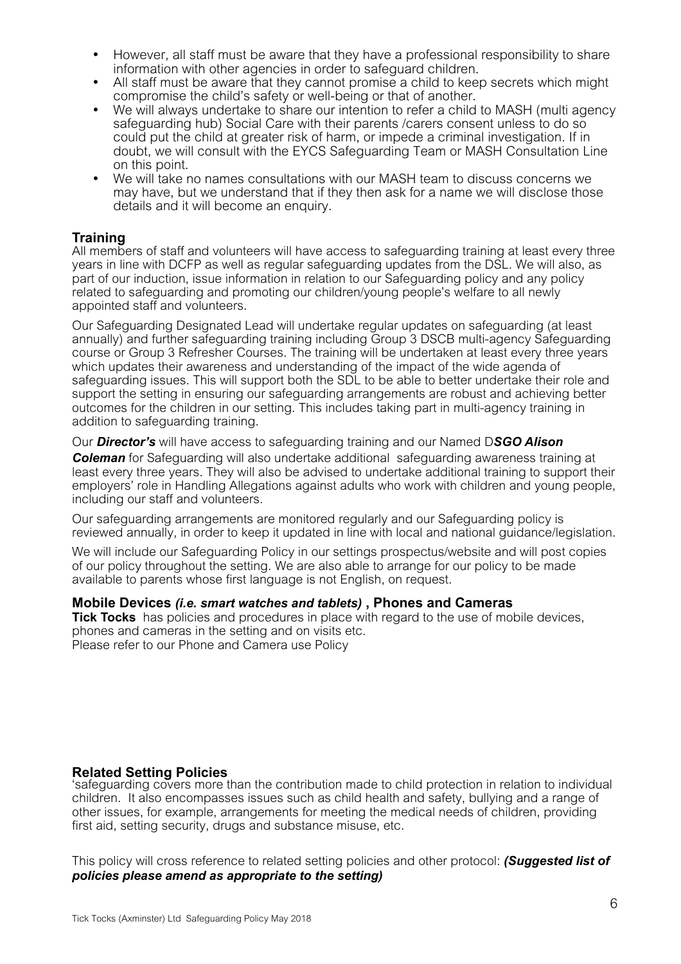- However, all staff must be aware that they have a professional responsibility to share information with other agencies in order to safeguard children.
- All staff must be aware that they cannot promise a child to keep secrets which might compromise the child's safety or well-being or that of another.
- We will always undertake to share our intention to refer a child to MASH (multi agency safeguarding hub) Social Care with their parents /carers consent unless to do so could put the child at greater risk of harm, or impede a criminal investigation. If in doubt, we will consult with the EYCS Safeguarding Team or MASH Consultation Line on this point.
- We will take no names consultations with our MASH team to discuss concerns we may have, but we understand that if they then ask for a name we will disclose those details and it will become an enquiry.

## **Training**

All members of staff and volunteers will have access to safeguarding training at least every three years in line with DCFP as well as regular safeguarding updates from the DSL. We will also, as part of our induction, issue information in relation to our Safeguarding policy and any policy related to safeguarding and promoting our children/young people's welfare to all newly appointed staff and volunteers.

Our Safeguarding Designated Lead will undertake regular updates on safeguarding (at least annually) and further safeguarding training including Group 3 DSCB multi-agency Safeguarding course or Group 3 Refresher Courses. The training will be undertaken at least every three years which updates their awareness and understanding of the impact of the wide agenda of safeguarding issues. This will support both the SDL to be able to better undertake their role and support the setting in ensuring our safeguarding arrangements are robust and achieving better outcomes for the children in our setting. This includes taking part in multi-agency training in addition to safeguarding training.

#### Our *Director's* will have access to safeguarding training and our Named D*SGO Alison*

*Coleman* for Safeguarding will also undertake additional safeguarding awareness training at least every three years. They will also be advised to undertake additional training to support their employers' role in Handling Allegations against adults who work with children and young people, including our staff and volunteers.

Our safeguarding arrangements are monitored regularly and our Safeguarding policy is reviewed annually, in order to keep it updated in line with local and national guidance/legislation.

We will include our Safeguarding Policy in our settings prospectus/website and will post copies of our policy throughout the setting. We are also able to arrange for our policy to be made available to parents whose first language is not English, on request.

#### **Mobile Devices** *(i.e. smart watches and tablets)* **, Phones and Cameras**

**Tick Tocks** has policies and procedures in place with regard to the use of mobile devices, phones and cameras in the setting and on visits etc. Please refer to our Phone and Camera use Policy

## **Related Setting Policies**

'safeguarding covers more than the contribution made to child protection in relation to individual children. It also encompasses issues such as child health and safety, bullying and a range of other issues, for example, arrangements for meeting the medical needs of children, providing first aid, setting security, drugs and substance misuse, etc.

This policy will cross reference to related setting policies and other protocol: *(Suggested list of policies please amend as appropriate to the setting)*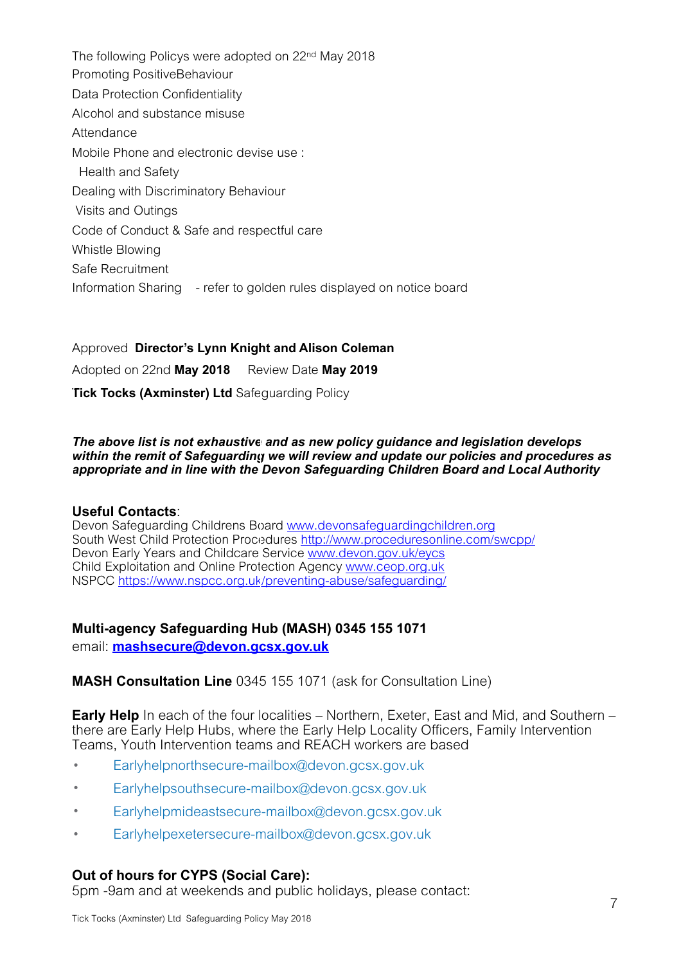The following Policys were adopted on 22nd May 2018 Promoting PositiveBehaviour Data Protection Confidentiality Alcohol and substance misuse **Attendance** Mobile Phone and electronic devise use : Health and Safety Dealing with Discriminatory Behaviour Visits and Outings Code of Conduct & Safe and respectful care Whistle Blowing Safe Recruitment Information Sharing - refer to golden rules displayed on notice board

Approved **Director's Lynn Knight and Alison Coleman**  Adopted on 22nd **May 2018** Review Date **May 2019 Tick Tocks (Axminster) Ltd Safeguarding Policy** 

#### *The above list is not exhaustive and as new policy guidance and legislation develops within the remit of Safeguarding we will review and update our policies and procedures as appropriate and in line with the Devon Safeguarding Children Board and Local Authority*

## **Useful Contacts**:

Devon Safeguarding Childrens Board [www.devonsafeguardingchildren.org](http://www.devonsafeguardingchildren.org) South West Child Protection Procedures <http://www.proceduresonline.com/swcpp/> Devon Early Years and Childcare Service www.devon.gov.uk/eycs Child Exploitation and Online Protection Agency [www.ceop.org.uk](http://www.ceop.org.uk) NSPCC<https://www.nspcc.org.uk/preventing-abuse/safeguarding/>

## **Multi-agency Safeguarding Hub (MASH) 0345 155 1071**

email: **[mashsecure@devon.gcsx.gov.uk](mailto:mashsecure@devon.gcsx.gov.uk)**

## **MASH Consultation Line** 0345 155 1071 (ask for Consultation Line)

**Early Help** In each of the four localities – Northern, Exeter, East and Mid, and Southern – there are Early Help Hubs, where the Early Help Locality Officers, Family Intervention Teams, Youth Intervention teams and REACH workers are based

- [Earlyhelpnorthsecure-mailbox@devon.gcsx.gov.uk](mailto:Earlyhelpnorthsecure-mailbox@devon.gcsx.gov.uk)
- [Earlyhelpsouthsecure-mailbox@devon.gcsx.gov.uk](mailto:Earlyhelpsouthsecure-mailbox@devon.gcsx.gov.uk)
- [Earlyhelpmideastsecure-mailbox@devon.gcsx.gov.uk](mailto:Earlyhelpmideastsecure-mailbox@devon.gcsx.gov.uk)
- [Earlyhelpexetersecure-mailbox@devon.gcsx.gov.uk](mailto:Earlyhelpexetersecure-mailbox@devon.gcsx.gov.uk)

# **Out of hours for CYPS (Social Care):**

5pm -9am and at weekends and public holidays, please contact: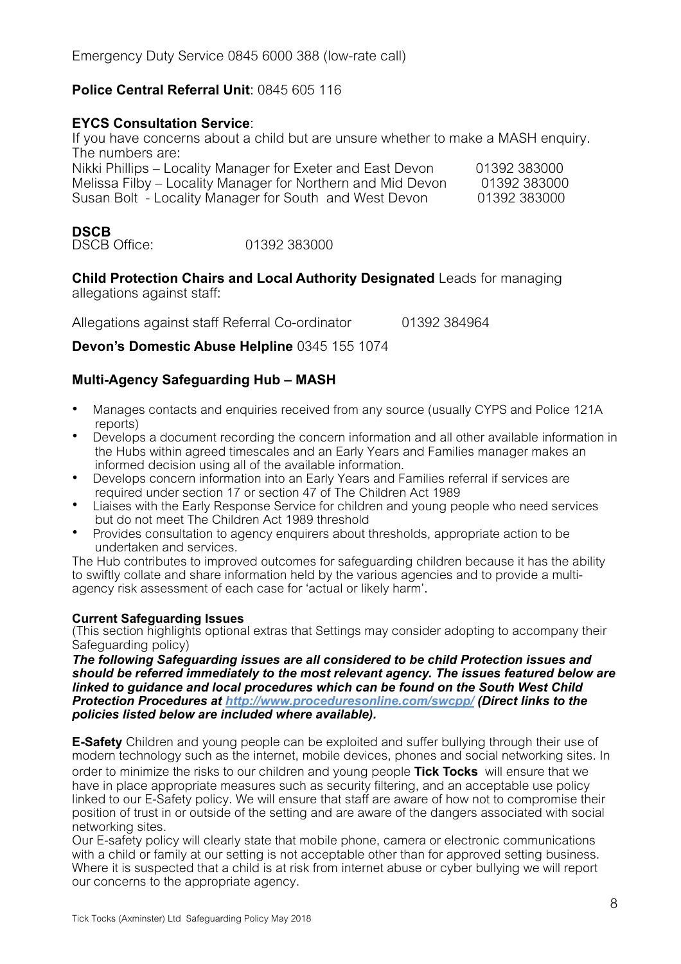Emergency Duty Service 0845 6000 388 (low-rate call)

# **Police Central Referral Unit**: 0845 605 116

## **EYCS Consultation Service**:

If you have concerns about a child but are unsure whether to make a MASH enquiry. The numbers are:

| Nikki Phillips – Locality Manager for Exeter and East Devon | 01392 383000 |
|-------------------------------------------------------------|--------------|
| Melissa Filby – Locality Manager for Northern and Mid Devon | 01392 383000 |
| Susan Bolt - Locality Manager for South and West Devon      | 01392 383000 |

# **DSCB**

DSCB Office: 01392 383000

**Child Protection Chairs and Local Authority Designated** Leads for managing allegations against staff:

Allegations against staff Referral Co-ordinator **01392 384964** 

**Devon's Domestic Abuse Helpline** 0345 155 1074

# **Multi-Agency Safeguarding Hub – MASH**

- Manages contacts and enquiries received from any source (usually CYPS and Police 121A reports)
- Develops a document recording the concern information and all other available information in the Hubs within agreed timescales and an Early Years and Families manager makes an informed decision using all of the available information.
- Develops concern information into an Early Years and Families referral if services are required under section 17 or section 47 of The Children Act 1989
- Liaises with the Early Response Service for children and young people who need services but do not meet The Children Act 1989 threshold
- Provides consultation to agency enquirers about thresholds, appropriate action to be undertaken and services.

The Hub contributes to improved outcomes for safeguarding children because it has the ability to swiftly collate and share information held by the various agencies and to provide a multiagency risk assessment of each case for 'actual or likely harm'.

## **Current Safeguarding Issues**

(This section highlights optional extras that Settings may consider adopting to accompany their Safeguarding policy)

*The following Safeguarding issues are all considered to be child Protection issues and should be referred immediately to the most relevant agency. The issues featured below are linked to guidance and local procedures which can be found on the South West Child Protection Procedures at http://www.proceduresonline.com/swcpp/ (Direct links to the policies listed below are included where available).* 

**E-Safety** Children and young people can be exploited and suffer bullying through their use of modern technology such as the internet, mobile devices, phones and social networking sites. In order to minimize the risks to our children and young people **Tick Tocks** will ensure that we have in place appropriate measures such as security filtering, and an acceptable use policy linked to our E-Safety policy. We will ensure that staff are aware of how not to compromise their position of trust in or outside of the setting and are aware of the dangers associated with social networking sites.

Our E-safety policy will clearly state that mobile phone, camera or electronic communications with a child or family at our setting is not acceptable other than for approved setting business. Where it is suspected that a child is at risk from internet abuse or cyber bullying we will report our concerns to the appropriate agency.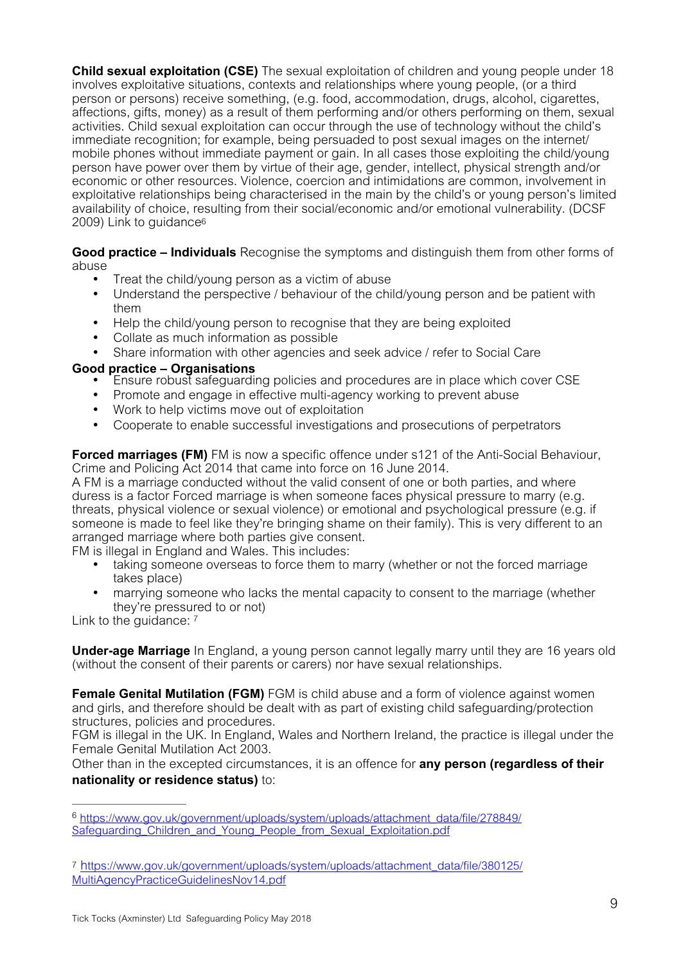**Child sexual exploitation (CSE)** The sexual exploitation of children and young people under 18 involves exploitative situations, contexts and relationships where young people, (or a third person or persons) receive something, (e.g. food, accommodation, drugs, alcohol, cigarettes, affections, gifts, money) as a result of them performing and/or others performing on them, sexual activities. Child sexual exploitation can occur through the use of technology without the child's immediate recognition; for example, being persuaded to post sexual images on the internet/ mobile phones without immediate payment or gain. In all cases those exploiting the child/young person have power over them by virtue of their age, gender, intellect, physical strength and/or economic or other resources. Violence, coercion and intimidations are common, involvement in exploitative relationships being characterised in the main by the child's or young person's limited availability of choice, resulting from their social/economic and/or emotional vulnerability. (DCSF 2009) Link to guidanc[e6](#page-8-0)

**Good practice – Individuals** Recognise the symptoms and distinguish them from other forms of abuse

- <span id="page-8-2"></span>• Treat the child/young person as a victim of abuse
- Understand the perspective / behaviour of the child/young person and be patient with them
- Help the child/young person to recognise that they are being exploited
- Collate as much information as possible
- Share information with other agencies and seek advice / refer to Social Care

## **Good practice – Organisations**

- Ensure robust safeguarding policies and procedures are in place which cover CSE<br>• Promote and engage in effective multi-agency working to prevent abuse
- Promote and engage in effective multi-agency working to prevent abuse
- Work to help victims move out of exploitation
- Cooperate to enable successful investigations and prosecutions of perpetrators

**Forced marriages (FM)** FM is now a specific offence under s121 of the Anti-Social Behaviour, Crime and Policing Act 2014 that came into force on 16 June 2014.

A FM is a marriage conducted without the valid consent of one or both parties, and where duress is a factor Forced marriage is when someone faces physical pressure to marry (e.g. threats, physical violence or sexual violence) or emotional and psychological pressure (e.g. if someone is made to feel like they're bringing shame on their family). This is very different to an arranged marriage where both parties give consent.

FM is illegal in England and Wales. This includes:

- taking someone overseas to force them to marry (whether or not the forced marriage takes place)
- <span id="page-8-3"></span>marrying someone who lacks the mental capacity to consent to the marriage (whether they're pressured to or not)

Link to the quidance: [7](#page-8-1)

**Under-age Marriage** In England, a young person cannot legally marry until they are 16 years old (without the consent of their parents or carers) nor have sexual relationships.

**Female Genital Mutilation (FGM)** FGM is child abuse and a form of violence against women and girls, and therefore should be dealt with as part of existing child safeguarding/protection structures, policies and procedures.

FGM is illegal in the UK. In England, Wales and Northern Ireland, the practice is illegal under the Female Genital Mutilation Act 2003.

Other than in the excepted circumstances, it is an offence for **any person (regardless of their nationality or residence status)** to:

<span id="page-8-1"></span>[7](#page-8-3) [https://www.gov.uk/government/uploads/system/uploads/attachment\\_data/file/380125/](https://www.gov.uk/government/uploads/system/uploads/attachment_data/file/380125/MultiAgencyPracticeGuidelinesNov14.pdf) [MultiAgencyPracticeGuidelinesNov14.pdf](https://www.gov.uk/government/uploads/system/uploads/attachment_data/file/380125/MultiAgencyPracticeGuidelinesNov14.pdf)

<span id="page-8-0"></span>[https://www.gov.uk/government/uploads/system/uploads/attachment\\_data/file/278849/](https://www.gov.uk/government/uploads/system/uploads/attachment_data/file/278849/Safeguarding_Children_and_Young_People_from_Sexual_Exploitation.pdf) [6](#page-8-2) Safeguarding Children\_and\_Young\_People\_from\_Sexual\_Exploitation.pdf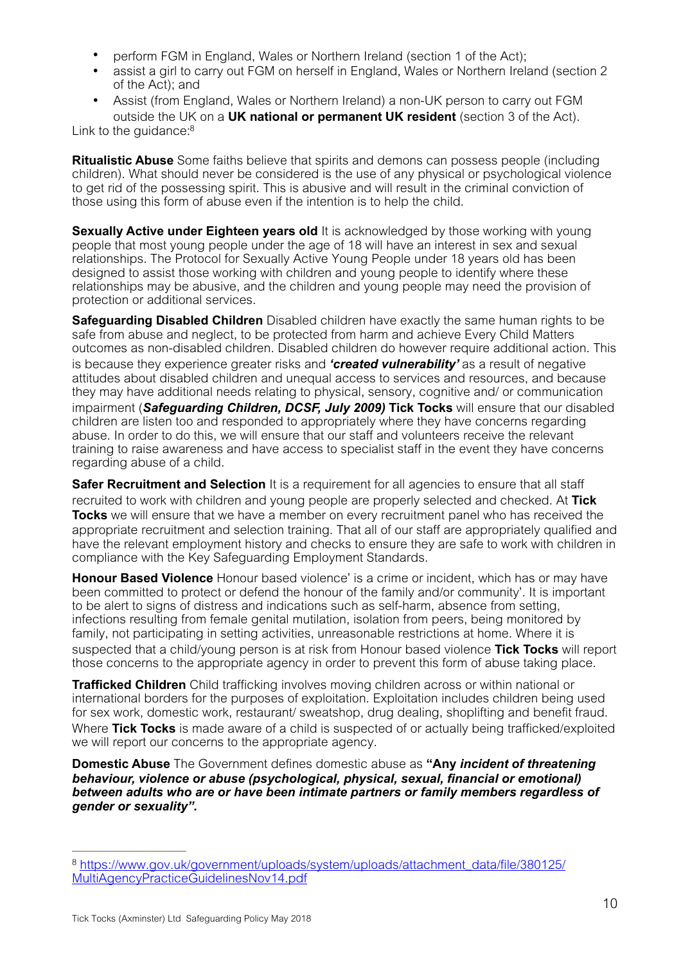- perform FGM in England, Wales or Northern Ireland (section 1 of the Act);
- assist a girl to carry out FGM on herself in England, Wales or Northern Ireland (section 2 of the Act); and
- <span id="page-9-1"></span>• Assist (from England, Wales or Northern Ireland) a non-UK person to carry out FGM outside the UK on a **UK national or permanent UK resident** (section 3 of the Act).

Link to the quidance:<sup>8</sup>

**Ritualistic Abuse** Some faiths believe that spirits and demons can possess people (including children). What should never be considered is the use of any physical or psychological violence to get rid of the possessing spirit. This is abusive and will result in the criminal conviction of those using this form of abuse even if the intention is to help the child.

**Sexually Active under Eighteen years old** It is acknowledged by those working with young people that most young people under the age of 18 will have an interest in sex and sexual relationships. The Protocol for Sexually Active Young People under 18 years old has been designed to assist those working with children and young people to identify where these relationships may be abusive, and the children and young people may need the provision of protection or additional services.

**Safeguarding Disabled Children** Disabled children have exactly the same human rights to be safe from abuse and neglect, to be protected from harm and achieve Every Child Matters outcomes as non-disabled children. Disabled children do however require additional action. This is because they experience greater risks and *'created vulnerability'* as a result of negative attitudes about disabled children and unequal access to services and resources, and because they may have additional needs relating to physical, sensory, cognitive and/ or communication impairment (*Safeguarding Children, DCSF, July 2009)* **Tick Tocks** will ensure that our disabled children are listen too and responded to appropriately where they have concerns regarding abuse. In order to do this, we will ensure that our staff and volunteers receive the relevant training to raise awareness and have access to specialist staff in the event they have concerns regarding abuse of a child.

**Safer Recruitment and Selection** It is a requirement for all agencies to ensure that all staff recruited to work with children and young people are properly selected and checked. At **Tick Tocks** we will ensure that we have a member on every recruitment panel who has received the appropriate recruitment and selection training. That all of our staff are appropriately qualified and have the relevant employment history and checks to ensure they are safe to work with children in compliance with the Key Safeguarding Employment Standards.

**Honour Based Violence** Honour based violence' is a crime or incident, which has or may have been committed to protect or defend the honour of the family and/or community'. It is important to be alert to signs of distress and indications such as self-harm, absence from setting, infections resulting from female genital mutilation, isolation from peers, being monitored by family, not participating in setting activities, unreasonable restrictions at home. Where it is suspected that a child/young person is at risk from Honour based violence **Tick Tocks** will report those concerns to the appropriate agency in order to prevent this form of abuse taking place.

**Trafficked Children** Child trafficking involves moving children across or within national or international borders for the purposes of exploitation. Exploitation includes children being used for sex work, domestic work, restaurant/ sweatshop, drug dealing, shoplifting and benefit fraud. Where **Tick Tocks** is made aware of a child is suspected of or actually being trafficked/exploited we will report our concerns to the appropriate agency.

**Domestic Abuse** The Government defines domestic abuse as **"Any** *incident of threatening behaviour, violence or abuse (psychological, physical, sexual, financial or emotional) between adults who are or have been intimate partners or family members regardless of gender or sexuality".* 

<span id="page-9-0"></span>[https://www.gov.uk/government/uploads/system/uploads/attachment\\_data/file/380125/](https://www.gov.uk/government/uploads/system/uploads/attachment_data/file/380125/MultiAgencyPracticeGuidelinesNov14.pdf) [8](#page-9-1) [MultiAgencyPracticeGuidelinesNov14.pdf](https://www.gov.uk/government/uploads/system/uploads/attachment_data/file/380125/MultiAgencyPracticeGuidelinesNov14.pdf)